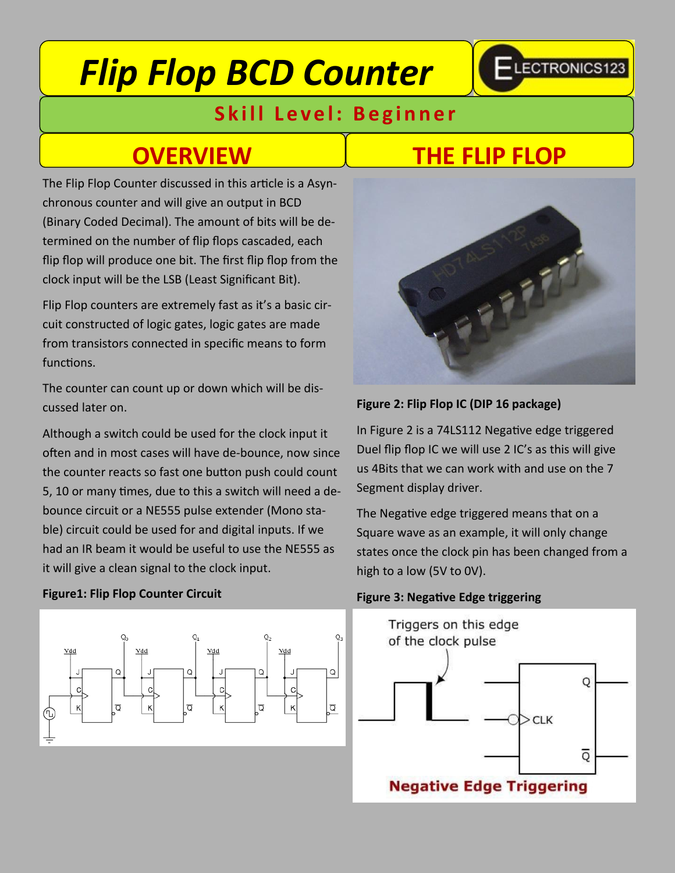# *Flip Flop BCD Counter*



### **Skill Level: Beginner**

The Flip Flop Counter discussed in this article is a Asynchronous counter and will give an output in BCD (Binary Coded Decimal). The amount of bits will be determined on the number of flip flops cascaded, each flip flop will produce one bit. The first flip flop from the clock input will be the LSB (Least Significant Bit).

Flip Flop counters are extremely fast as it's a basic circuit constructed of logic gates, logic gates are made from transistors connected in specific means to form functions.

The counter can count up or down which will be discussed later on.

Although a switch could be used for the clock input it often and in most cases will have de-bounce, now since the counter reacts so fast one button push could count 5, 10 or many times, due to this a switch will need a debounce circuit or a NE555 pulse extender (Mono stable) circuit could be used for and digital inputs. If we had an IR beam it would be useful to use the NE555 as it will give a clean signal to the clock input.

#### **Figure1: Flip Flop Counter Circuit**



### **OVERVIEW THE FLIP FLOP**



#### **Figure 2: Flip Flop IC (DIP 16 package)**

In Figure 2 is a 74LS112 Negative edge triggered Duel flip flop IC we will use 2 IC's as this will give us 4Bits that we can work with and use on the 7 Segment display driver.

The Negative edge triggered means that on a Square wave as an example, it will only change states once the clock pin has been changed from a high to a low (5V to 0V).

#### **Figure 3: Negative Edge triggering**

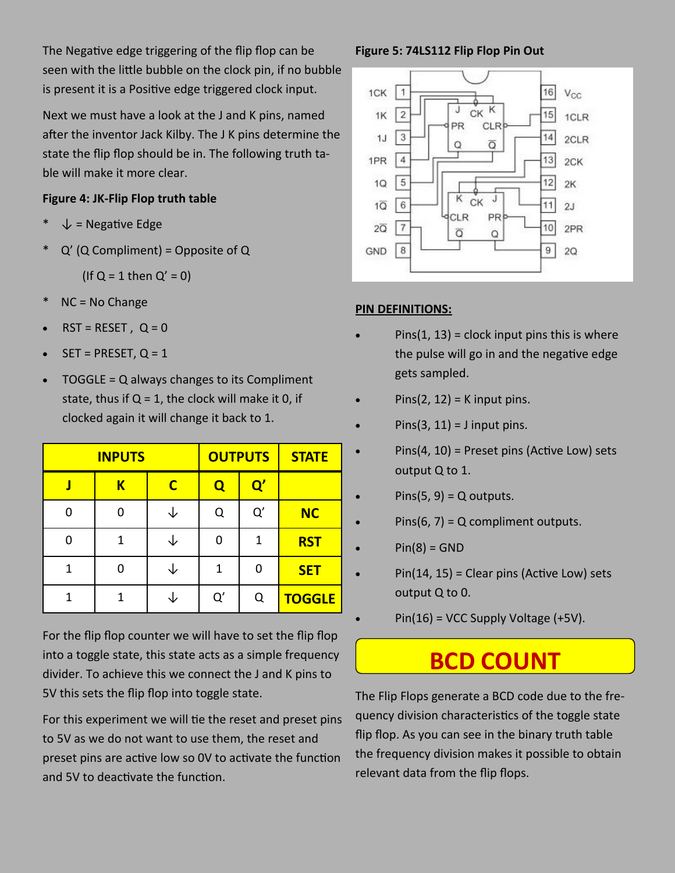The Negative edge triggering of the flip flop can be seen with the little bubble on the clock pin, if no bubble is present it is a Positive edge triggered clock input.

Next we must have a look at the J and K pins, named after the inventor Jack Kilby. The J K pins determine the state the flip flop should be in. The following truth table will make it more clear.

### **Figure 4: JK-Flip Flop truth table**

- $\downarrow$  = Negative Edge
- $Q'$  (Q Compliment) = Opposite of Q

(If  $Q = 1$  then  $Q' = 0$ )

- $NC = No$  Change
- $RST = RESET$ ,  $Q = 0$
- $SET = PRESET, Q = 1$
- TOGGLE = Q always changes to its Compliment state, thus if  $Q = 1$ , the clock will make it 0, if clocked again it will change it back to 1.

| <b>STATE</b>  |               | <b>OUTPUTS</b> | <b>INPUTS</b> |   |   |
|---------------|---------------|----------------|---------------|---|---|
|               | $\mathbf{Q}'$ | Q              | C             | K |   |
| <b>NC</b>     | Q'            | Q              |               |   | 0 |
| <b>RST</b>    | 1             | n              |               | 1 | 0 |
| <b>SET</b>    |               | 1              |               |   | 1 |
| <b>TOGGLE</b> | Q             | Q'             |               | 1 | 1 |

For the flip flop counter we will have to set the flip flop into a toggle state, this state acts as a simple frequency divider. To achieve this we connect the J and K pins to 5V this sets the flip flop into toggle state.

For this experiment we will tie the reset and preset pins to 5V as we do not want to use them, the reset and preset pins are active low so 0V to activate the function and 5V to deactivate the function.

### **Figure 5: 74LS112 Flip Flop Pin Out**



### **PIN DEFINITIONS:**

- $Pins(1, 13) = clock input pins this is where$ the pulse will go in and the negative edge gets sampled.
- $Pins(2, 12) = K$  input pins.
- $Pins(3, 11) = J$  input pins.
- $\bullet$  Pins(4, 10) = Preset pins (Active Low) sets output Q to 1.
- $Pins(5, 9) = Q$  outputs.
- $Pins(6, 7) = Q$  compliment outputs.
- $Pin(8) = GND$
- Pin(14, 15) = Clear pins (Active Low) sets output Q to 0.
- $Pin(16) = VCC$  Supply Voltage  $(+5V)$ .

## **BCD COUNT**

The Flip Flops generate a BCD code due to the frequency division characteristics of the toggle state flip flop. As you can see in the binary truth table the frequency division makes it possible to obtain relevant data from the flip flops.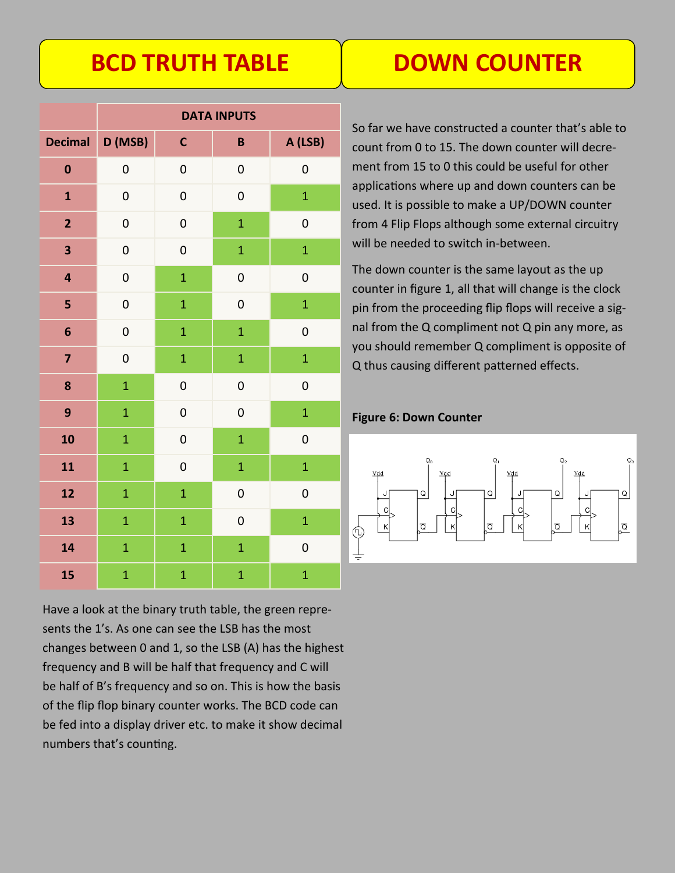## **BCD TRUTH TABLE**

| <b>DOWN COUNTER</b> |  |  |
|---------------------|--|--|
|                     |  |  |
|                     |  |  |

|                | <b>DATA INPUTS</b> |                |                  |                  |
|----------------|--------------------|----------------|------------------|------------------|
| <b>Decimal</b> | D (MSB)            | $\mathbf c$    | B                | A (LSB)          |
| $\bf{0}$       | $\mathbf 0$        | $\mathbf 0$    | $\mathbf{0}$     | $\mathbf 0$      |
| $\mathbf{1}$   | $\mathbf 0$        | $\mathbf 0$    | $\mathbf{0}$     | $\overline{1}$   |
| $\overline{2}$ | $\overline{0}$     | $\mathbf 0$    | $\overline{1}$   | $\overline{0}$   |
| 3              | $\mathbf 0$        | $\mathbf 0$    | $\mathbf{1}$     | $\overline{1}$   |
| 4              | $\mathbf 0$        | $\mathbf{1}$   | $\boldsymbol{0}$ | $\mathbf 0$      |
| 5              | $\mathbf 0$        | $\mathbf{1}$   | $\pmb{0}$        | $\overline{1}$   |
| 6              | $\mathbf 0$        | $\overline{1}$ | $\overline{1}$   | $\overline{0}$   |
| 7              | $\overline{0}$     | $\overline{1}$ | $\overline{1}$   | $\overline{1}$   |
| 8              | $\overline{1}$     | $\mathbf 0$    | $\mathbf 0$      | $\boldsymbol{0}$ |
| 9              | $\overline{1}$     | $\mathbf 0$    | $\mathbf 0$      | $\overline{1}$   |
| 10             | $\overline{1}$     | $\mathbf 0$    | $\overline{1}$   | $\mathbf 0$      |
| 11             | $\overline{1}$     | $\mathbf 0$    | $\overline{1}$   | $\overline{1}$   |
| 12             | $\overline{1}$     | $\mathbf{1}$   | $\mathbf{0}$     | $\mathbf 0$      |
| 13             | $\overline{1}$     | $\mathbf{1}$   | $\overline{0}$   | $\mathbf{1}$     |
| 14             | $\overline{1}$     | $\overline{1}$ | $\overline{1}$   | $\overline{0}$   |
| 15             | $\mathbf{1}$       | $\overline{1}$ | $\overline{1}$   | $\overline{1}$   |

Have a look at the binary truth table, the green represents the 1's. As one can see the LSB has the most changes between 0 and 1, so the LSB (A) has the highest frequency and B will be half that frequency and C will be half of B's frequency and so on. This is how the basis of the flip flop binary counter works. The BCD code can be fed into a display driver etc. to make it show decimal numbers that's counting.

So far we have constructed a counter that's able to count from 0 to 15. The down counter will decrement from 15 to 0 this could be useful for other applications where up and down counters can be used. It is possible to make a UP/DOWN counter from 4 Flip Flops although some external circuitry will be needed to switch in-between.

The down counter is the same layout as the up counter in figure 1, all that will change is the clock pin from the proceeding flip flops will receive a signal from the Q compliment not Q pin any more, as you should remember Q compliment is opposite of Q thus causing different patterned effects.

**Figure 6: Down Counter**

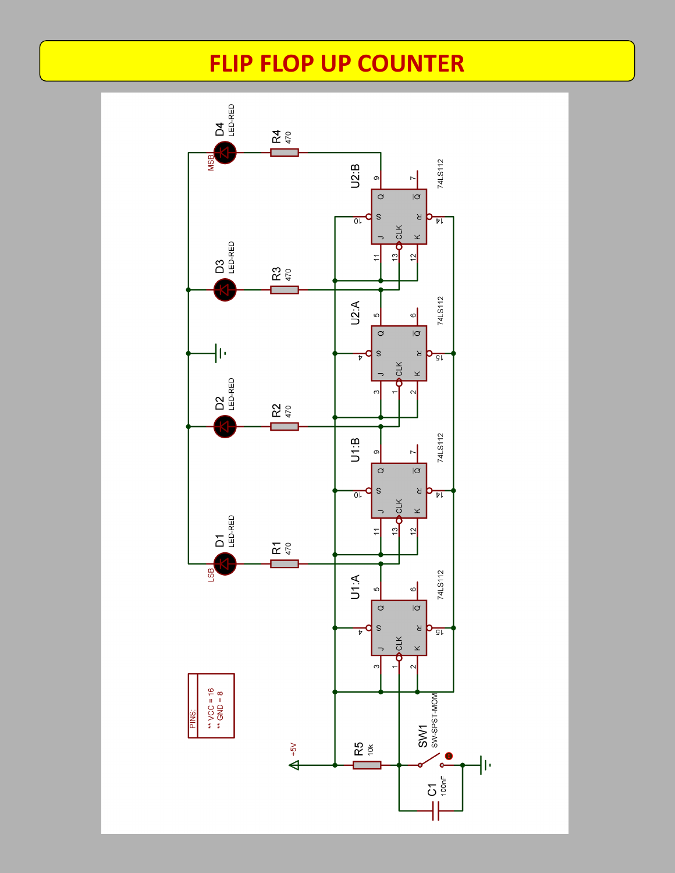### **FLIP FLOP UP COUNTER**